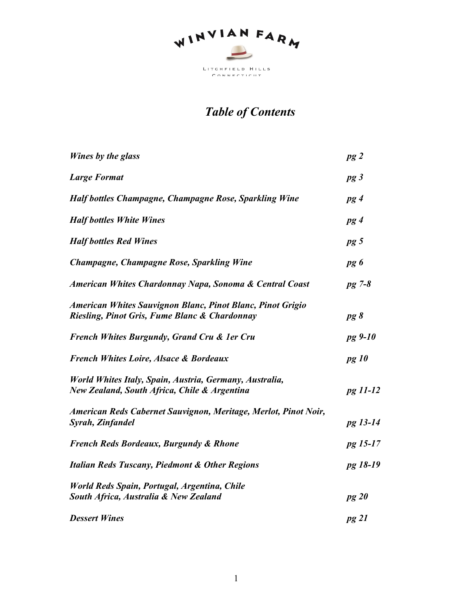

# *Table of Contents*

| Wines by the glass                                                                                          | pg2          |
|-------------------------------------------------------------------------------------------------------------|--------------|
| <b>Large Format</b>                                                                                         | pg3          |
| <b>Half bottles Champagne, Champagne Rose, Sparkling Wine</b>                                               | pg4          |
| <b>Half bottles White Wines</b>                                                                             | pg4          |
| <b>Half bottles Red Wines</b>                                                                               | $pg\,5$      |
| Champagne, Champagne Rose, Sparkling Wine                                                                   | pg 6         |
| American Whites Chardonnay Napa, Sonoma & Central Coast                                                     | $pg$ 7-8     |
| American Whites Sauvignon Blanc, Pinot Blanc, Pinot Grigio<br>Riesling, Pinot Gris, Fume Blanc & Chardonnay | pg 8         |
| French Whites Burgundy, Grand Cru & 1er Cru                                                                 | pg 9-10      |
| <b>French Whites Loire, Alsace &amp; Bordeaux</b>                                                           | <i>pg 10</i> |
| World Whites Italy, Spain, Austria, Germany, Australia,<br>New Zealand, South Africa, Chile & Argentina     | pg 11-12     |
| American Reds Cabernet Sauvignon, Meritage, Merlot, Pinot Noir,<br>Syrah, Zinfandel                         | pg 13-14     |
| <b>French Reds Bordeaux, Burgundy &amp; Rhone</b>                                                           | pg 15-17     |
| <b>Italian Reds Tuscany, Piedmont &amp; Other Regions</b>                                                   | pg 18-19     |
| World Reds Spain, Portugal, Argentina, Chile<br>South Africa, Australia & New Zealand                       | pg20         |
| <b>Dessert Wines</b>                                                                                        | pg 21        |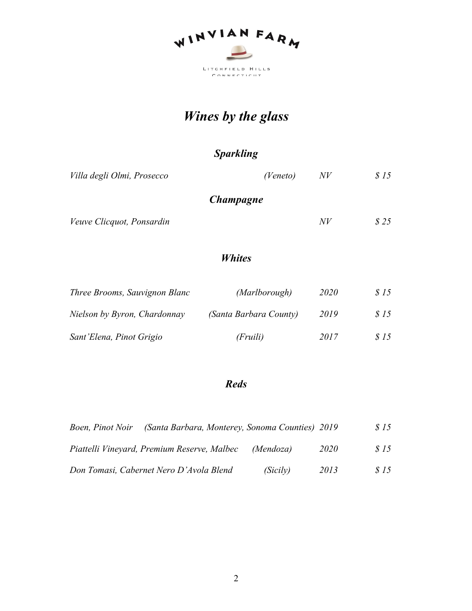

# *Wines by the glass*

*Sparkling*

| Villa degli Olmi, Prosecco    | (Veneto)               | N V  | \$15 |
|-------------------------------|------------------------|------|------|
|                               | <i>Champagne</i>       |      |      |
| Veuve Clicquot, Ponsardin     |                        | N V  | \$25 |
|                               | <i>Whites</i>          |      |      |
| Three Brooms, Sauvignon Blanc | (Marlborough)          | 2020 | \$15 |
| Nielson by Byron, Chardonnay  | (Santa Barbara County) | 2019 | \$15 |

| Sant'Elena, Pinot Grigio | (Fruili) | 2017 | \$15 |
|--------------------------|----------|------|------|

#### *Reds*

| Boen, Pinot Noir | (Santa Barbara, Monterey, Sonoma Counties) 2019 |           |      | \$15        |
|------------------|-------------------------------------------------|-----------|------|-------------|
|                  | Piattelli Vineyard, Premium Reserve, Malbec     | (Mendoza) | 2020 | <i>S</i> 15 |
|                  | Don Tomasi, Cabernet Nero D'Avola Blend         | (Sicily)  | 2013 | \$15        |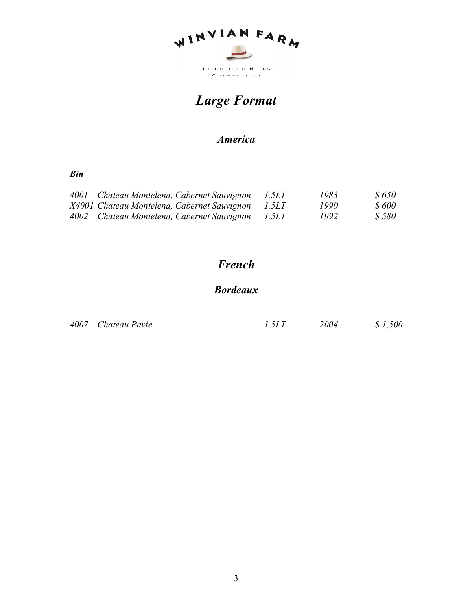

# *Large Format*

## *America*

#### *Bin*

| 4001 Chateau Montelena, Cabernet Sauvignon        | <i>1.5LT</i> | 1983 | <i>S 650</i> |
|---------------------------------------------------|--------------|------|--------------|
| X4001 Chateau Montelena, Cabernet Sauvignon 1.5LT |              | 1990 | <i>S 600</i> |
| 4002 Chateau Montelena, Cabernet Sauvignon 1.5LT  |              | 1992 | \$580        |

# *French*

## *Bordeaux*

| 4007 Chateau Pavie | 1.5LT | 2004 | \$1,500 |
|--------------------|-------|------|---------|
|                    |       |      |         |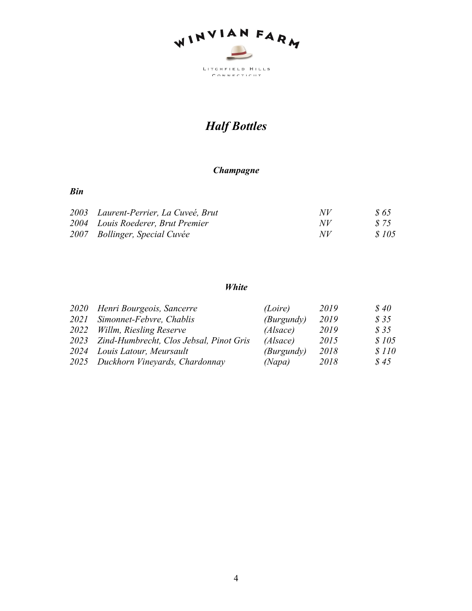

# *Half Bottles*

#### *Champagne*

#### *Bin*

| 2003 Laurent-Perrier, La Cuveé, Brut | NV  | S 65         |
|--------------------------------------|-----|--------------|
| 2004 Louis Roederer, Brut Premier    | NV  | S 75         |
| 2007 Bollinger, Special Cuvée        | N V | <i>S</i> 105 |

#### *White*

| 2020 Henri Bourgeois, Sancerre               | (Loire)    | 2019 | \$40         |
|----------------------------------------------|------------|------|--------------|
| 2021 Simonnet-Febvre, Chablis                | (Burgundy) | 2019 | \$35         |
| 2022 Willm, Riesling Reserve                 | (Alsace)   | 2019 | \$35         |
| 2023 Zind-Humbrecht, Clos Jebsal, Pinot Gris | (Alsace)   | 2015 | \$105        |
| 2024 Louis Latour, Meursault                 | (Burgundy) | 2018 | <i>s</i> 110 |
| 2025 Duckhorn Vineyards, Chardonnay          | (Napa)     | 2018 | \$45         |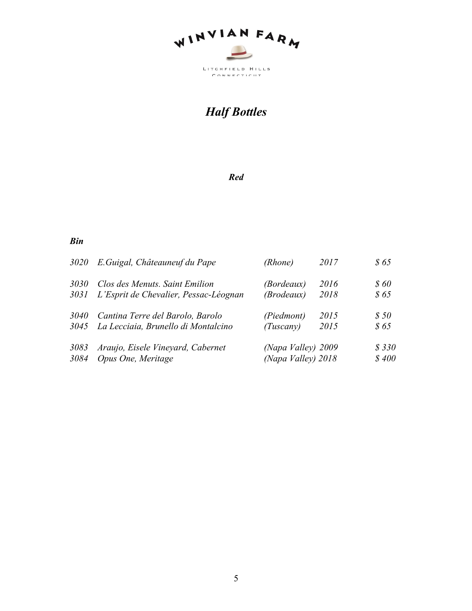

# *Half Bottles*

#### *Red*

| 3020 | E. Guigal, Châteauneuf du Pape        | (Rhone)            | 2017 | \$65        |
|------|---------------------------------------|--------------------|------|-------------|
| 3030 | Clos des Menuts. Saint Emilion        | <i>(Bordeaux)</i>  | 2016 | <b>\$60</b> |
| 3031 | L'Esprit de Chevalier, Pessac-Léognan | (Brodeaux)         | 2018 | \$65        |
| 3040 | Cantina Terre del Barolo, Barolo      | (Piedmont)         | 2015 | \$50        |
| 3045 | La Lecciaia, Brunello di Montalcino   | (Tuscany)          | 2015 | \$65        |
| 3083 | Araujo, Eisele Vineyard, Cabernet     | (Napa Valley) 2009 |      | \$330       |
| 3084 | Opus One, Meritage                    | (Napa Valley) 2018 |      | \$400       |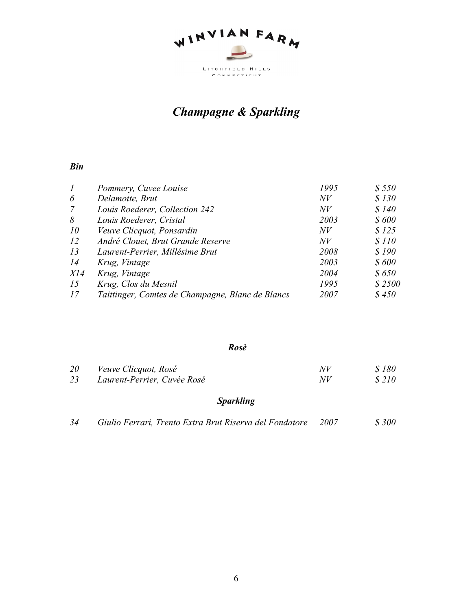

# *Champagne & Sparkling*

#### *Bin*

| $\boldsymbol{l}$ | Pommery, Cuvee Louise                            | 1995 | \$550  |
|------------------|--------------------------------------------------|------|--------|
| 6                | Delamotte, Brut                                  | N V  | \$130  |
| $\mathcal{I}$    | Louis Roederer, Collection 242                   | N V  | \$140  |
| 8                | Louis Roederer, Cristal                          | 2003 | \$600  |
| 10               | Veuve Clicquot, Ponsardin                        | N V  | \$125  |
| 12               | André Clouet, Brut Grande Reserve                | N V  | \$110  |
| 13               | Laurent-Perrier, Millésime Brut                  | 2008 | \$190  |
| 14               | Krug, Vintage                                    | 2003 | \$600  |
| XI4              | Krug, Vintage                                    | 2004 | \$650  |
| 15               | Krug, Clos du Mesnil                             | 1995 | \$2500 |
| 17               | Taittinger, Comtes de Champagne, Blanc de Blancs | 2007 | \$450  |

#### *Rosè*

| <i>20</i> | <i>Veuve Clicquot, Rosé</i> | N V | \$180 |
|-----------|-----------------------------|-----|-------|
| 23        | Laurent-Perrier, Cuvée Rosé | NV  | \$210 |

## *Sparkling*

|  | 34 |  | Giulio Ferrari, Trento Extra Brut Riserva del Fondatore 2007 |  | \$300 |
|--|----|--|--------------------------------------------------------------|--|-------|
|--|----|--|--------------------------------------------------------------|--|-------|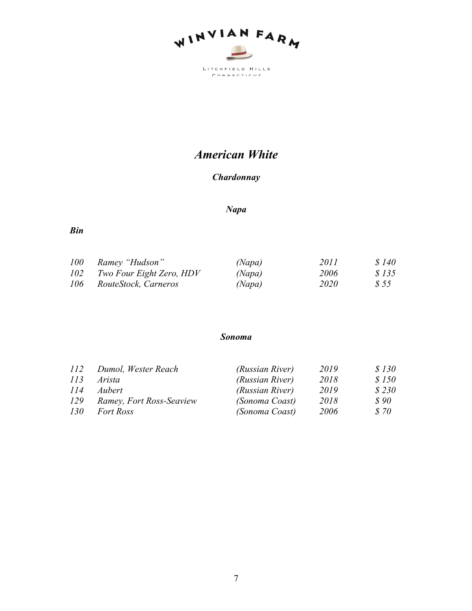

# *American White*

#### *Chardonnay*

#### *Napa*

*Bin*

| <i>100</i> | Ramey "Hudson"           | (Napa) | 2011        | \$140 |
|------------|--------------------------|--------|-------------|-------|
| 102        | Two Four Eight Zero, HDV | (Napa) | 2006        | \$135 |
| 106        | RouteStock, Carneros     | (Napa) | <i>2020</i> | S 55  |

#### *Sonoma*

| 112        | Dumol, Wester Reach      | (Russian River) | 2019 | \$130 |
|------------|--------------------------|-----------------|------|-------|
| 113        | Arista                   | (Russian River) | 2018 | \$150 |
| 114        | Aubert                   | (Russian River) | 2019 | \$230 |
| <i>129</i> | Ramey, Fort Ross-Seaview | (Sonoma Coast)  | 2018 | \$90  |
| <i>130</i> | <i>Fort Ross</i>         | (Sonoma Coast)  | 2006 | \$70  |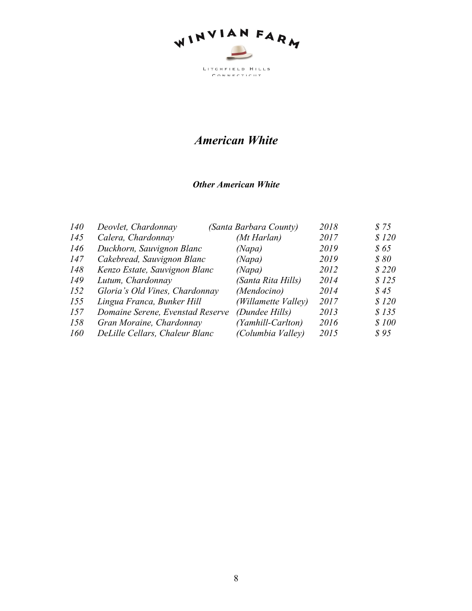

## *American White*

#### *Other American White*

| 140 | Deovlet, Chardonnay              | (Santa Barbara County) | 2018 | \$75        |
|-----|----------------------------------|------------------------|------|-------------|
| 145 | Calera, Chardonnay               | (Mt Harlan)            | 2017 | \$120       |
| 146 | Duckhorn, Sauvignon Blanc        | (Napa)                 | 2019 | <i>S</i> 65 |
| 147 | Cakebread, Sauvignon Blanc       | (Napa)                 | 2019 | \$80        |
| 148 | Kenzo Estate, Sauvignon Blanc    | (Napa)                 | 2012 | \$220       |
| 149 | Lutum, Chardonnay                | (Santa Rita Hills)     | 2014 | \$125       |
| 152 | Gloria's Old Vines, Chardonnay   | (Mendocino)            | 2014 | \$45        |
| 155 | Lingua Franca, Bunker Hill       | (Willamette Valley)    | 2017 | \$120       |
| 157 | Domaine Serene, Evenstad Reserve | (Dundee Hills)         | 2013 | \$135       |
| 158 | Gran Moraine, Chardonnay         | (Yamhill-Carlton)      | 2016 | \$100       |
| 160 | DeLille Cellars, Chaleur Blanc   | (Columbia Valley)      | 2015 | \$95        |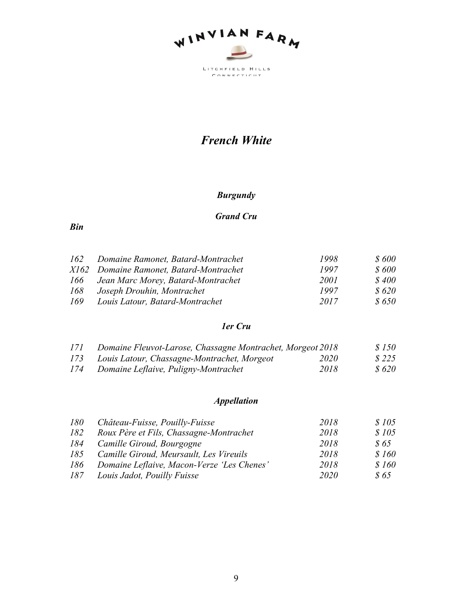

# *French White*

#### *Burgundy*

#### *Grand Cru*

#### *Bin*

| 162 | Domaine Ramonet, Batard-Montrachet      | 1998        | \$600         |
|-----|-----------------------------------------|-------------|---------------|
|     | X162 Domaine Ramonet, Batard-Montrachet | 1997        | <i>\$</i> 600 |
| 166 | Jean Marc Morey, Batard-Montrachet      | <i>2001</i> | <i>S</i> 400  |
| 168 | Joseph Drouhin, Montrachet              | 1997        | <i>S</i> 620  |
| 169 | Louis Latour, Batard-Montrachet         | 2017        | <i>S</i> 650  |

#### *1er Cru*

| 171 | Domaine Fleuvot-Larose, Chassagne Montrachet, Morgeot 2018 |      | \$150 |
|-----|------------------------------------------------------------|------|-------|
| 173 | Louis Latour, Chassagne-Montrachet, Morgeot                | 2020 | \$225 |
| 174 | Domaine Leflaive, Puligny-Montrachet                       | 2018 | \$620 |

## *Appellation*

| 180 | Château-Fuisse, Pouilly-Fuisse             | 2018 | \$105       |
|-----|--------------------------------------------|------|-------------|
| 182 | Roux Père et Fils, Chassagne-Montrachet    | 2018 | \$105       |
|     | 184 Camille Giroud, Bourgogne              | 2018 | <i>S</i> 65 |
| 185 | Camille Giroud, Meursault, Les Vireuils    | 2018 | \$160       |
| 186 | Domaine Leflaive, Macon-Verze 'Les Chenes' | 2018 | \$160       |
| 187 | Louis Jadot, Pouilly Fuisse                | 2020 | \$65        |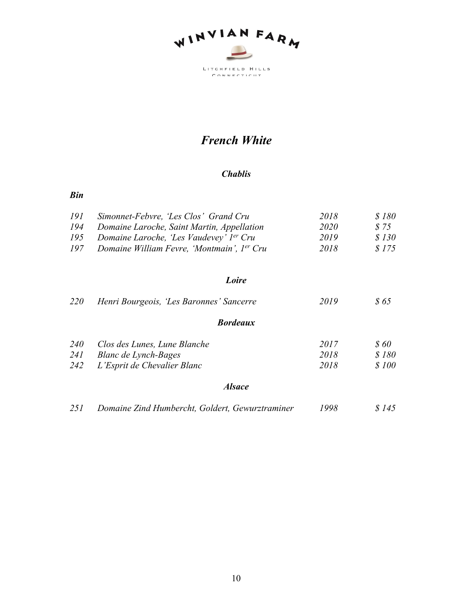

# *French White*

#### *Chablis*

#### *Bin*

| 191 | Simonnet-Febvre, 'Les Clos' Grand Cru                  | 2018 | <i>S</i> 180 |
|-----|--------------------------------------------------------|------|--------------|
| 194 | Domaine Laroche, Saint Martin, Appellation             | 2020 | S 75         |
| 195 | Domaine Laroche, 'Les Vaudevey' l <sup>er</sup> Cru    | 2019 | S 130        |
| 197 | Domaine William Fevre, 'Montmain', 1 <sup>er</sup> Cru | 2018 | S 175        |

#### *Loire*

| <i>220</i> | Henri Bourgeois, 'Les Baronnes' Sancerre        | 2019 | \$65         |
|------------|-------------------------------------------------|------|--------------|
|            | <b>Bordeaux</b>                                 |      |              |
| <i>240</i> | Clos des Lunes, Lune Blanche                    | 2017 | <i>\$ 60</i> |
| 241        | Blanc de Lynch-Bages                            | 2018 | \$180        |
| 242        | L'Esprit de Chevalier Blanc                     | 2018 | \$100        |
|            | <i><b>Alsace</b></i>                            |      |              |
| 251        | Domaine Zind Humbercht, Goldert, Gewurztraminer | 1998 | S 145        |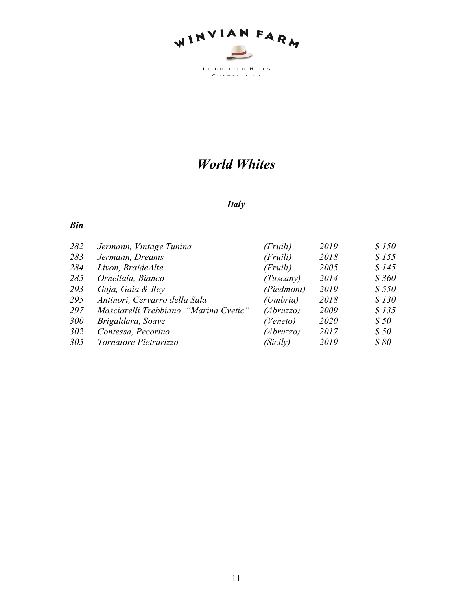

# *World Whites*

#### *Italy*

| 282 | Jermann, Vintage Tunina               | (Fruili)             | 2019 | \$150 |
|-----|---------------------------------------|----------------------|------|-------|
| 283 | Jermann, Dreams                       | (Fruili)             | 2018 | \$155 |
| 284 | Livon, BraideAlte                     | (Fruili)             | 2005 | \$145 |
| 285 | Ornellaia, Bianco                     | (Tuscany)            | 2014 | \$360 |
| 293 | Gaja, Gaia & Rey                      | (Piedmont)           | 2019 | \$550 |
| 295 | Antinori, Cervarro della Sala         | (U <sub>m</sub> bra) | 2018 | \$130 |
| 297 | Masciarelli Trebbiano "Marina Cvetic" | (Abruzzo)            | 2009 | \$135 |
| 300 | Brigaldara, Soave                     | (Veneto)             | 2020 | \$50  |
| 302 | Contessa, Pecorino                    | (Abruzzo)            | 2017 | \$50  |
| 305 | Tornatore Pietrarizzo                 | (Sicily)             | 2019 | \$80  |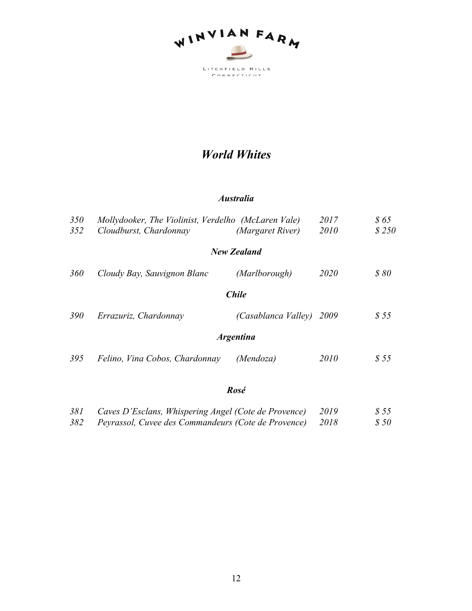

# *World Whites*

#### *Australia*

| 350        | Mollydooker, The Violinist, Verdelho (McLaren Vale) |                          | 2017 | \$65  |
|------------|-----------------------------------------------------|--------------------------|------|-------|
| 352        | Cloudburst, Chardonnay                              | (Margaret River)         | 2010 | \$250 |
|            |                                                     | New Zealand              |      |       |
| <b>360</b> | Cloudy Bay, Sauvignon Blanc                         | (Marlborough)            | 2020 | \$80  |
|            |                                                     | <b>Chile</b>             |      |       |
| <i>390</i> | Errazuriz, Chardonnay                               | (Casablanca Valley) 2009 |      | \$55  |
|            |                                                     | <i><b>Argentina</b></i>  |      |       |
| 395        | Felino, Vina Cobos, Chardonnay                      | (Mendoza)                | 2010 | \$55  |
|            |                                                     | $\mathbf{D}$             |      |       |

#### *Rosé*

| 381 | Caves D'Esclans, Whispering Angel (Cote de Provence) | 2019 | \$55 |
|-----|------------------------------------------------------|------|------|
| 382 | Peyrassol, Cuvee des Commandeurs (Cote de Provence)  | 2018 | \$50 |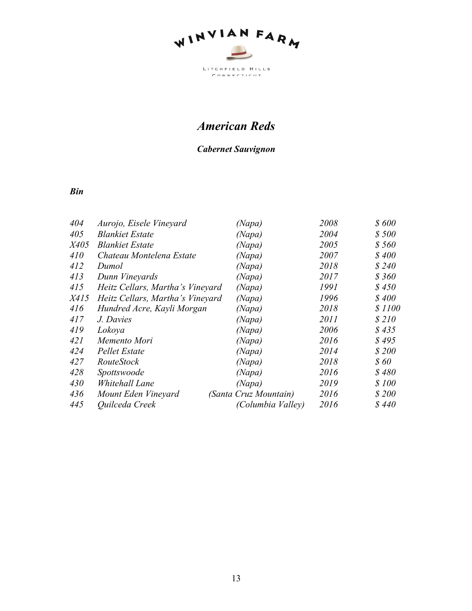

# *American Reds*

#### *Cabernet Sauvignon*

| 404         | Aurojo, Eisele Vineyard          | (Napa)                | 2008 | \$600  |
|-------------|----------------------------------|-----------------------|------|--------|
| 405         | <b>Blankiet Estate</b>           | (Napa)                | 2004 | \$500  |
| <i>X405</i> | <b>Blankiet Estate</b>           | (Napa)                | 2005 | \$560  |
| 410         | Chateau Montelena Estate         | (Napa)                | 2007 | \$400  |
| 412         | Dumol                            | (Napa)                | 2018 | \$240  |
| 413         | Dunn Vineyards                   | (Napa)                | 2017 | \$360  |
| 415         | Heitz Cellars, Martha's Vineyard | (Napa)                | 1991 | \$450  |
| <i>X415</i> | Heitz Cellars, Martha's Vineyard | (Napa)                | 1996 | \$400  |
| 416         | Hundred Acre, Kayli Morgan       | (Napa)                | 2018 | \$1100 |
| 417         | J. Davies                        | (Napa)                | 2011 | \$210  |
| 419         | Lokoya                           | (Napa)                | 2006 | \$435  |
| 421         | Memento Mori                     | (Napa)                | 2016 | \$495  |
| 424         | Pellet Estate                    | (Napa)                | 2014 | \$200  |
| 427         | <i>RouteStock</i>                | (Napa)                | 2018 | \$60   |
| 428         | Spottswoode                      | (Napa)                | 2016 | \$480  |
| 430         | Whitehall Lane                   | (Napa)                | 2019 | \$100  |
| 436         | Mount Eden Vineyard              | (Santa Cruz Mountain) | 2016 | \$200  |
| 445         | Quilceda Creek                   | (Columbia Valley)     | 2016 | \$440  |
|             |                                  |                       |      |        |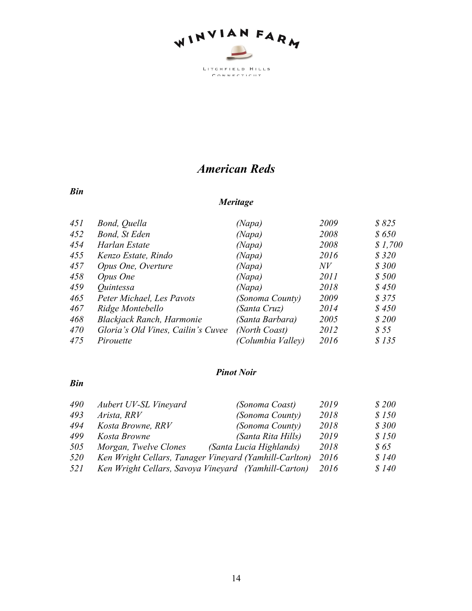

*American Reds*

#### *Bin*

## *Meritage*

| 451 | Bond, Quella                       | (Napa)            | 2009 | \$825   |
|-----|------------------------------------|-------------------|------|---------|
| 452 | Bond, St Eden                      | (Napa)            | 2008 | \$650   |
| 454 | Harlan Estate                      | (Napa)            | 2008 | \$1,700 |
| 455 | Kenzo Estate, Rindo                | (Napa)            | 2016 | \$320   |
| 457 | Opus One, Overture                 | (Napa)            | N V  | \$300   |
| 458 | Opus One                           | (Napa)            | 2011 | \$500   |
| 459 | Quintessa                          | (Napa)            | 2018 | \$450   |
| 465 | Peter Michael, Les Pavots          | (Sonoma County)   | 2009 | \$375   |
| 467 | Ridge Montebello                   | (Santa Cruz)      | 2014 | \$450   |
| 468 | <b>Blackjack Ranch, Harmonie</b>   | (Santa Barbara)   | 2005 | \$200   |
| 470 | Gloria's Old Vines, Cailin's Cuvee | (North Coast)     | 2012 | \$55    |
| 475 | Pirouette                          | (Columbia Valley) | 2016 | \$135   |

#### *Pinot Noir*

| 490 | Aubert UV-SL Vineyard                                  | (Sonoma Coast)          | 2019 | \$200 |
|-----|--------------------------------------------------------|-------------------------|------|-------|
| 493 | Arista, RRV                                            | (Sonoma County)         | 2018 | \$150 |
| 494 | Kosta Browne, RRV                                      | (Sonoma County)         | 2018 | \$300 |
| 499 | Kosta Browne                                           | (Santa Rita Hills)      | 2019 | \$150 |
| 505 | Morgan, Twelve Clones                                  | (Santa Lucia Highlands) | 2018 | \$65  |
| 520 | Ken Wright Cellars, Tanager Vineyard (Yamhill-Carlton) |                         | 2016 | \$140 |
| 521 | Ken Wright Cellars, Savoya Vineyard (Yamhill-Carton)   |                         | 2016 | \$140 |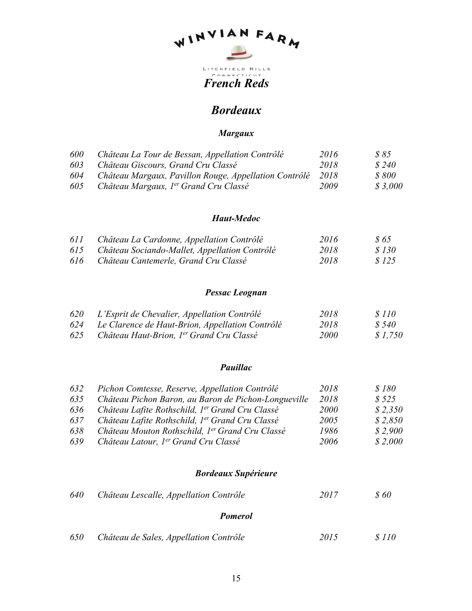# WINVIAN FARM

**French Reds** 

## *Bordeaux*

#### *Margaux*

| 600 | Château La Tour de Bessan, Appellation Contrôlé            | 2016 | S 85         |
|-----|------------------------------------------------------------|------|--------------|
| 603 | Château Giscours, Grand Cru Classé                         | 2018 | \$240        |
| 604 | Château Margaux, Pavillon Rouge, Appellation Contrôlé 2018 |      | <i>s</i> 800 |
| 605 | Château Margaux, 1 <sup>er</sup> Grand Cru Classé          | 2009 | \$3.000      |

#### *Haut-Medoc*

| 611 | Château La Cardonne, Appellation Contrôlé     | 2016 | S 65         |
|-----|-----------------------------------------------|------|--------------|
| 615 | Château Sociando-Mallet, Appellation Contrôlé | 2018 | <i>S</i> 130 |
| 616 | Château Cantemerle, Grand Cru Classé          | 2018 | \$125        |

#### *Pessac Leognan*

| 620 | L'Esprit de Chevalier, Appellation Contrôlé          | 2018        | <i>S</i> 110 |
|-----|------------------------------------------------------|-------------|--------------|
| 624 | Le Clarence de Haut-Brion, Appellation Contrôlé      | 2018        | S 540        |
| 625 | Château Haut-Brion, 1 <sup>er</sup> Grand Cru Classé | <i>2000</i> | \$1,750      |

#### *Pauillac*

| 632 | Pichon Comtesse, Reserve, Appellation Contrôlé              | 2018        | \$180   |
|-----|-------------------------------------------------------------|-------------|---------|
| 635 | Château Pichon Baron, au Baron de Pichon-Longueville        | 2018        | \$525   |
| 636 | Château Lafite Rothschild, 1 <sup>er</sup> Grand Cru Classé | <i>2000</i> | \$2,350 |
| 637 | Château Lafite Rothschild, 1er Grand Cru Classé             | 2005        | \$2,850 |
| 638 | Château Mouton Rothschild, 1er Grand Cru Classé             | 1986        | \$2.900 |
| 639 | Château Latour, 1 <sup>er</sup> Grand Cru Classé            | 2006        | \$2,000 |

#### *Bordeaux Supérieure*

| 640 | Château Lescalle, Appellation Contrôle | 2017 | S 60         |
|-----|----------------------------------------|------|--------------|
|     | <b>Pomerol</b>                         |      |              |
| 650 | Château de Sales, Appellation Contrôle | 2015 | <i>s</i> 110 |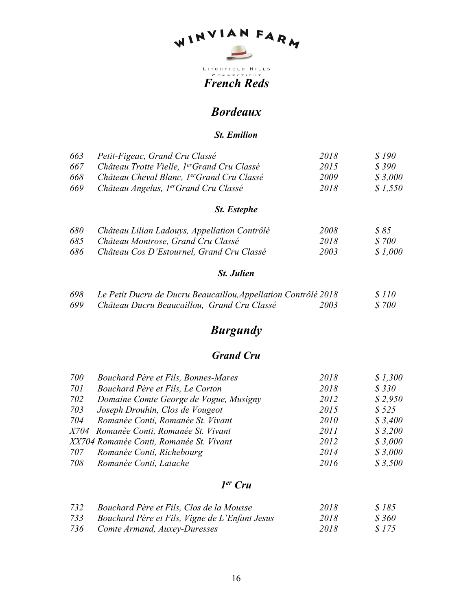# WINVIAN FARM

**French Reds** 

## *Bordeaux*

#### *St. Emilion*

| 663 | Petit-Figeac, Grand Cru Classé                          | 2018 | S 190   |
|-----|---------------------------------------------------------|------|---------|
| 667 | Château Trotte Vielle, 1 <sup>er</sup> Grand Cru Classé | 2015 | \$390   |
| 668 | Château Cheval Blanc, 1 <sup>er</sup> Grand Cru Classé  | 2009 | \$3.000 |
| 669 | Château Angelus, 1 <sup>er</sup> Grand Cru Classé       | 2018 | \$1.550 |

#### *St. Estephe*

| 680 | Château Lilian Ladouys, Appellation Contrôlé | 2008 | 885     |
|-----|----------------------------------------------|------|---------|
| 685 | Château Montrose, Grand Cru Classé           | 2018 | \$700   |
| 686 | Château Cos D'Estournel, Grand Cru Classé    | 2003 | \$1.000 |

#### *St. Julien*

| 698 | Le Petit Ducru de Ducru Beaucaillou, Appellation Contrôlé 2018 |      | \$110 |
|-----|----------------------------------------------------------------|------|-------|
| 699 | Château Ducru Beaucaillou, Grand Cru Classé                    | 2003 | \$700 |

# *Burgundy*

## *Grand Cru*

| 700 | Bouchard Père et Fils, Bonnes-Mares     | 2018        | \$1,300 |
|-----|-----------------------------------------|-------------|---------|
| 701 | Bouchard Père et Fils, Le Corton        | 2018        | \$330   |
| 702 | Domaine Comte George de Vogue, Musigny  | 2012        | \$2,950 |
| 703 | Joseph Drouhin, Clos de Vougeot         | 2015        | \$525   |
| 704 | Romanèe Conti, Romanée St. Vivant       | <i>2010</i> | \$3,400 |
|     | X704 Romanèe Conti, Romanée St. Vivant  | 2011        | \$3,200 |
|     | XX704 Romanèe Conti, Romanée St. Vivant | 2012        | \$3,000 |
|     | 707 Romanèe Conti, Richebourg           | 2014        | \$3,000 |
| 708 | Romanèe Conti, Latache                  | 2016        | \$3,500 |

#### *1er Cru*

| 732 | Bouchard Père et Fils, Clos de la Mousse       | 2018 | 8185  |
|-----|------------------------------------------------|------|-------|
| 733 | Bouchard Père et Fils, Vigne de L'Enfant Jesus | 2018 | S 360 |
| 736 | Comte Armand, Auxey-Duresses                   | 2018 | S 175 |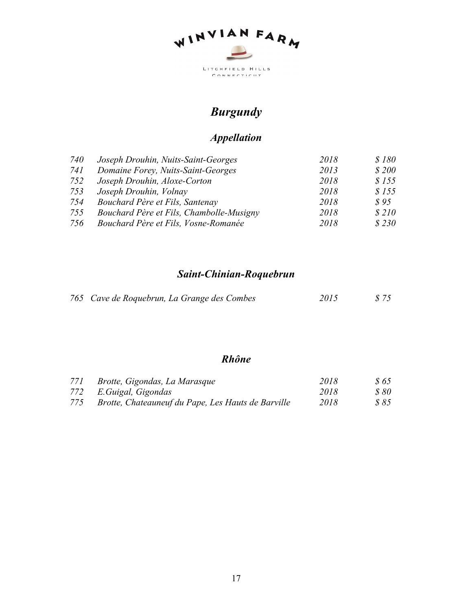

# *Burgundy*

# *Appellation*

| 740 | Joseph Drouhin, Nuits-Saint-Georges      | 2018 | \$180 |
|-----|------------------------------------------|------|-------|
| 741 | Domaine Forey, Nuits-Saint-Georges       | 2013 | \$200 |
| 752 | Joseph Drouhin, Aloxe-Corton             | 2018 | \$155 |
| 753 | Joseph Drouhin, Volnay                   | 2018 | \$155 |
| 754 | Bouchard Père et Fils, Santenay          | 2018 | \$95  |
| 755 | Bouchard Père et Fils, Chambolle-Musigny | 2018 | \$210 |
| 756 | Bouchard Père et Fils, Vosne-Romanée     | 2018 | \$230 |

# *Saint-Chinian-Roquebrun*

| 765 Cave de Roquebrun, La Grange des Combes | 2015 | \$75 |
|---------------------------------------------|------|------|
|                                             |      |      |

## *Rhône*

| 771 | Brotte, Gigondas, La Marasque                      | 2018 | 865  |
|-----|----------------------------------------------------|------|------|
|     | 772 E. Guigal, Gigondas                            | 2018 | 880  |
| 775 | Brotte, Chateauneuf du Pape, Les Hauts de Barville | 2018 | S 85 |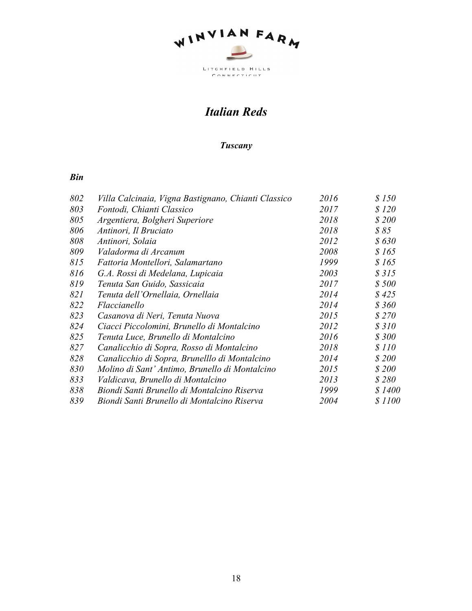

# *Italian Reds*

#### *Tuscany*

| 802 | Villa Calcinaia, Vigna Bastignano, Chianti Classico | 2016 | \$150  |
|-----|-----------------------------------------------------|------|--------|
| 803 | Fontodi, Chianti Classico                           | 2017 | \$120  |
| 805 | Argentiera, Bolgheri Superiore                      | 2018 | \$200  |
| 806 | Antinori, Il Bruciato                               | 2018 | \$85   |
| 808 | Antinori, Solaia                                    | 2012 | \$630  |
| 809 | Valadorma di Arcanum                                | 2008 | \$165  |
| 815 | Fattoria Montellori, Salamartano                    | 1999 | \$165  |
| 816 | G.A. Rossi di Medelana, Lupicaia                    | 2003 | \$315  |
| 819 | Tenuta San Guido, Sassicaia                         | 2017 | \$500  |
| 821 | Tenuta dell'Ornellaia, Ornellaia                    | 2014 | \$425  |
| 822 | Flaccianello                                        | 2014 | \$360  |
| 823 | Casanova di Neri, Tenuta Nuova                      | 2015 | \$270  |
| 824 | Ciacci Piccolomini, Brunello di Montalcino          | 2012 | \$310  |
| 825 | Tenuta Luce, Brunello di Montalcino                 | 2016 | \$300  |
| 827 | Canalicchio di Sopra, Rosso di Montalcino           | 2018 | \$110  |
| 828 | Canalicchio di Sopra, Brunelllo di Montalcino       | 2014 | \$200  |
| 830 | Molino di Sant' Antimo, Brunello di Montalcino      | 2015 | \$200  |
| 833 | Valdicava, Brunello di Montalcino                   | 2013 | \$280  |
| 838 | Biondi Santi Brunello di Montalcino Riserva         | 1999 | \$1400 |
| 839 | Biondi Santi Brunello di Montalcino Riserva         | 2004 | \$1100 |
|     |                                                     |      |        |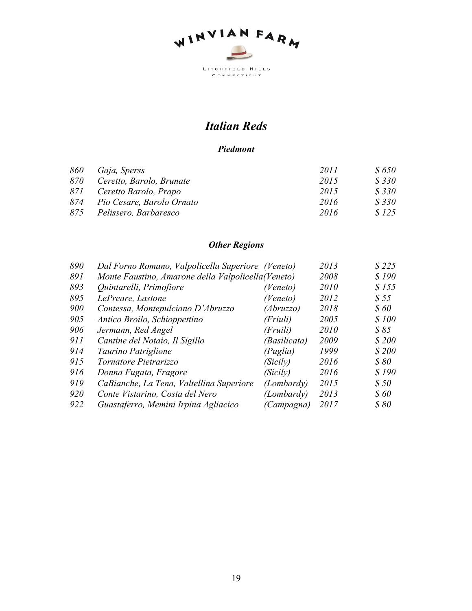

# *Italian Reds*

#### *Piedmont*

| 860 | Gaja, Sperss                  | 2011 | <i>8650</i> |
|-----|-------------------------------|------|-------------|
| 870 | Ceretto, Barolo, Brunate      | 2015 | \$330       |
|     | 871 Ceretto Barolo, Prapo     | 2015 | \$330       |
|     | 874 Pio Cesare, Barolo Ornato | 2016 | \$330       |
|     | 875 Pelissero, Barbaresco     | 2016 | \$125       |

## *Other Regions*

| 890 | Dal Forno Romano, Valpolicella Superiore (Veneto)   |              | 2013 | \$225        |
|-----|-----------------------------------------------------|--------------|------|--------------|
| 891 | Monte Faustino, Amarone della Valpolicella (Veneto) |              | 2008 | \$190        |
| 893 | Quintarelli, Primofiore                             | (Veneto)     | 2010 | \$155        |
| 895 | LePreare, Lastone                                   | (Veneto)     | 2012 | \$55         |
| 900 | Contessa, Montepulciano D'Abruzzo                   | (Abruzzo)    | 2018 | <i>\$ 60</i> |
| 905 | Antico Broilo, Schioppettino                        | (Friuli)     | 2005 | \$100        |
| 906 | Jermann, Red Angel                                  | (Fruili)     | 2010 | \$85         |
| 911 | Cantine del Notaio, Il Sigillo                      | (Basilicata) | 2009 | \$200        |
| 914 | Taurino Patriglione                                 | (Puglia)     | 1999 | \$200        |
| 915 | Tornatore Pietrarizzo                               | (Sicily)     | 2016 | \$80         |
| 916 | Donna Fugata, Fragore                               | (Sicily)     | 2016 | \$190        |
| 919 | CaBianche, La Tena, Valtellina Superiore            | (Lombardy)   | 2015 | \$50         |
| 920 | Conte Vistarino, Costa del Nero                     | (Lombardy)   | 2013 | \$60         |
| 922 | Guastaferro, Memini Irpina Agliacico                | (Campagna)   | 2017 | \$80         |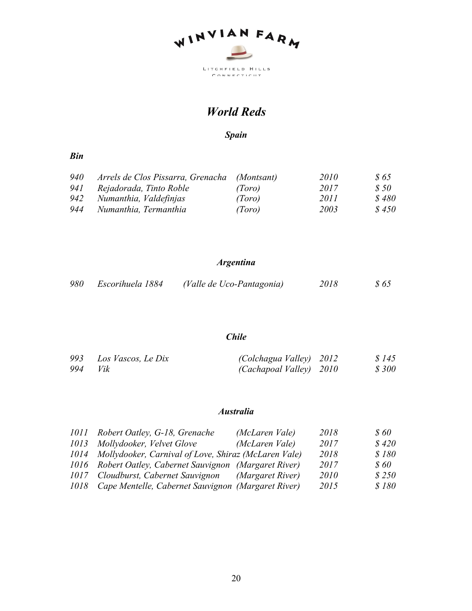

## *World Reds*

*Spain*

#### *Bin*

| 940 | Arrels de Clos Pissarra, Grenacha (Montsant) |        | 2010 | <i>S</i> 65 |
|-----|----------------------------------------------|--------|------|-------------|
| 941 | Rejadorada, Tinto Roble                      | (Toro) | 2017 | <i>S</i> 50 |
| 942 | Numanthia, Valdefinjas                       | (Toro) | 2011 | \$480       |
| 944 | Numanthia, Termanthia                        | (Toro) | 2003 | \$450       |

#### *Argentina*

| 980 | Escorihuela 1884 | (Valle de Uco-Pantagonia) | 2018 | \$65 |
|-----|------------------|---------------------------|------|------|
|-----|------------------|---------------------------|------|------|

#### *Chile*

|     | 993 Los Vascos, Le Dix | (Colchagua Valley) 2012 | \$145 |
|-----|------------------------|-------------------------|-------|
| 994 | Vik                    | (Cachapoal Valley) 2010 | \$300 |

#### *Australia*

| 1011 Robert Oatley, G-18, Grenache                        | (McLaren Vale)   | 2018 | \$60         |
|-----------------------------------------------------------|------------------|------|--------------|
| 1013 Mollydooker, Velvet Glove                            | (McLaren Vale)   | 2017 | \$420        |
| 1014 Mollydooker, Carnival of Love, Shiraz (McLaren Vale) |                  | 2018 | \$180        |
| 1016 Robert Oatley, Cabernet Sauvignon (Margaret River)   |                  | 2017 | <i>\$ 60</i> |
| 1017 Cloudburst, Cabernet Sauvignon                       | (Margaret River) | 2010 | \$250        |
| 1018 Cape Mentelle, Cabernet Sauvignon (Margaret River)   |                  | 2015 | \$180        |